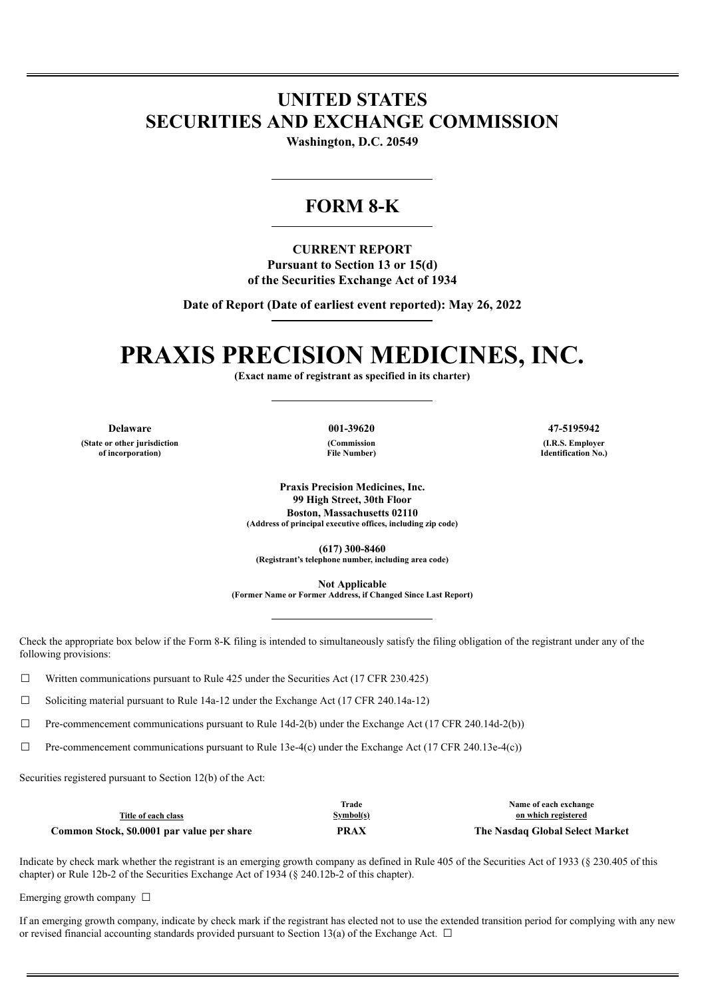## **UNITED STATES SECURITIES AND EXCHANGE COMMISSION**

**Washington, D.C. 20549**

### **FORM 8-K**

**CURRENT REPORT Pursuant to Section 13 or 15(d) of the Securities Exchange Act of 1934**

**Date of Report (Date of earliest event reported): May 26, 2022**

# **PRAXIS PRECISION MEDICINES, INC.**

**(Exact name of registrant as specified in its charter)**

**(State or other jurisdiction of incorporation)**

**(Commission File Number)**

**Delaware 001-39620 47-5195942 (I.R.S. Employer Identification No.)**

> **Praxis Precision Medicines, Inc. 99 High Street, 30th Floor Boston, Massachusetts 02110 (Address of principal executive offices, including zip code)**

**(617) 300-8460 (Registrant's telephone number, including area code)**

**Not Applicable**

**(Former Name or Former Address, if Changed Since Last Report)**

Check the appropriate box below if the Form 8-K filing is intended to simultaneously satisfy the filing obligation of the registrant under any of the following provisions:

 $\Box$  Written communications pursuant to Rule 425 under the Securities Act (17 CFR 230.425)

 $\Box$  Soliciting material pursuant to Rule 14a-12 under the Exchange Act (17 CFR 240.14a-12)

 $\Box$  Pre-commencement communications pursuant to Rule 14d-2(b) under the Exchange Act (17 CFR 240.14d-2(b))

 $\Box$  Pre-commencement communications pursuant to Rule 13e-4(c) under the Exchange Act (17 CFR 240.13e-4(c))

Securities registered pursuant to Section 12(b) of the Act:

|                                            | Trade     | Name of each exchange           |
|--------------------------------------------|-----------|---------------------------------|
| Title of each class                        | Symbol(s) | on which registered             |
| Common Stock, \$0.0001 par value per share | PRAX      | The Nasdaq Global Select Market |

Indicate by check mark whether the registrant is an emerging growth company as defined in Rule 405 of the Securities Act of 1933 (§ 230.405 of this chapter) or Rule 12b-2 of the Securities Exchange Act of 1934 (§ 240.12b-2 of this chapter).

Emerging growth company  $\Box$ 

If an emerging growth company, indicate by check mark if the registrant has elected not to use the extended transition period for complying with any new or revised financial accounting standards provided pursuant to Section 13(a) of the Exchange Act.  $\Box$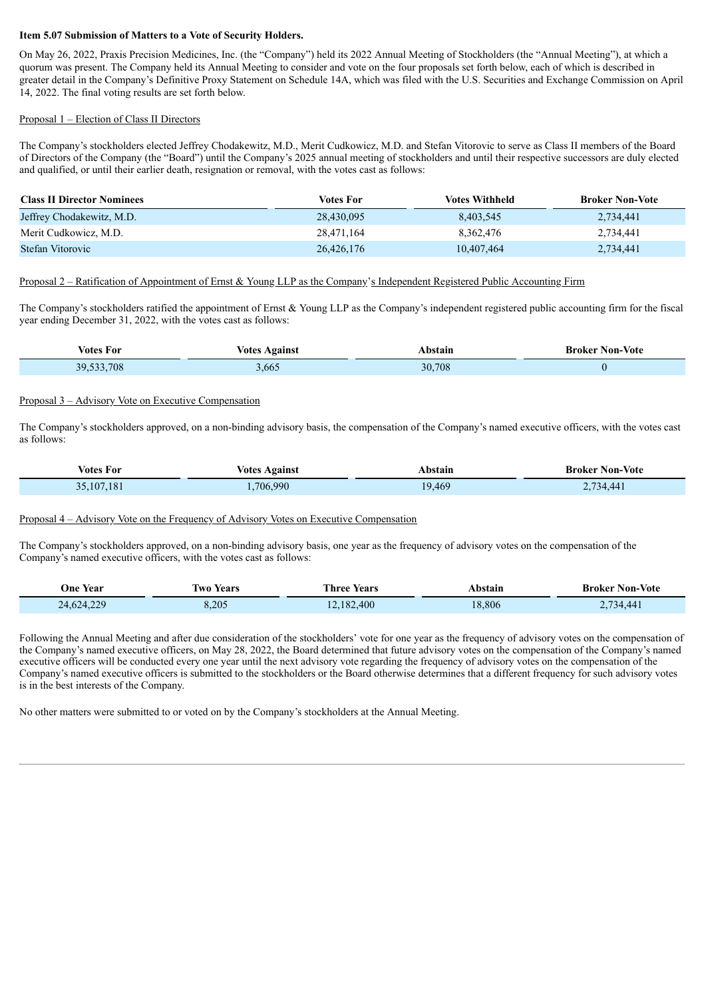#### **Item 5.07 Submission of Matters to a Vote of Security Holders.**

On May 26, 2022, Praxis Precision Medicines, Inc. (the "Company") held its 2022 Annual Meeting of Stockholders (the "Annual Meeting"), at which a quorum was present. The Company held its Annual Meeting to consider and vote on the four proposals set forth below, each of which is described in greater detail in the Company's Definitive Proxy Statement on Schedule 14A, which was filed with the U.S. Securities and Exchange Commission on April 14, 2022. The final voting results are set forth below.

#### Proposal 1 – Election of Class II Directors

The Company's stockholders elected Jeffrey Chodakewitz, M.D., Merit Cudkowicz, M.D. and Stefan Vitorovic to serve as Class II members of the Board of Directors of the Company (the "Board") until the Company's 2025 annual meeting of stockholders and until their respective successors are duly elected and qualified, or until their earlier death, resignation or removal, with the votes cast as follows:

| <b>Class II Director Nominees</b> | Votes For  | <b>Votes Withheld</b> | <b>Broker Non-Vote</b> |
|-----------------------------------|------------|-----------------------|------------------------|
| Jeffrey Chodakewitz, M.D.         | 28.430.095 | 8,403,545             | 2.734.441              |
| Merit Cudkowicz, M.D.             | 28.471.164 | 8.362.476             | 2.734.441              |
| Stefan Vitorovic                  | 26,426,176 | 10,407,464            | 2,734,441              |

#### Proposal 2 – Ratification of Appointment of Ernst & Young LLP as the Company's Independent Registered Public Accounting Firm

The Company's stockholders ratified the appointment of Ernst & Young LLP as the Company's independent registered public accounting firm for the fiscal year ending December 31, 2022, with the votes cast as follows:

| Votes For  | <b>Votes Against</b> | Abstain | <b>Broker Non-Vote</b> |
|------------|----------------------|---------|------------------------|
| 39,533,708 | ,665                 | 30,708  |                        |

#### Proposal 3 – Advisory Vote on Executive Compensation

The Company's stockholders approved, on a non-binding advisory basis, the compensation of the Company's named executive officers, with the votes cast as follows:

| Votes For            | <b>Votes Against</b> | bstain | <b>Broker Non-Vote</b> |
|----------------------|----------------------|--------|------------------------|
| .181<br>$10^{\circ}$ | .706.990             | .9.469 | 734.44                 |

Proposal 4 – Advisory Vote on the Frequency of Advisory Votes on Executive Compensation

The Company's stockholders approved, on a non-binding advisory basis, one year as the frequency of advisory votes on the compensation of the Company's named executive officers, with the votes cast as follows:

| One Year   | <b>Iwo Years</b> | Three Years<br>___ | Abstain<br>. | <b>Broker Non-Vote</b> |
|------------|------------------|--------------------|--------------|------------------------|
| 24,624,229 | 3,205            | 12,182,400         | 8,806        | 734,441                |

Following the Annual Meeting and after due consideration of the stockholders' vote for one year as the frequency of advisory votes on the compensation of the Company's named executive officers, on May 28, 2022, the Board determined that future advisory votes on the compensation of the Company's named executive officers will be conducted every one year until the next advisory vote regarding the frequency of advisory votes on the compensation of the Company's named executive officers is submitted to the stockholders or the Board otherwise determines that a different frequency for such advisory votes is in the best interests of the Company.

No other matters were submitted to or voted on by the Company's stockholders at the Annual Meeting.